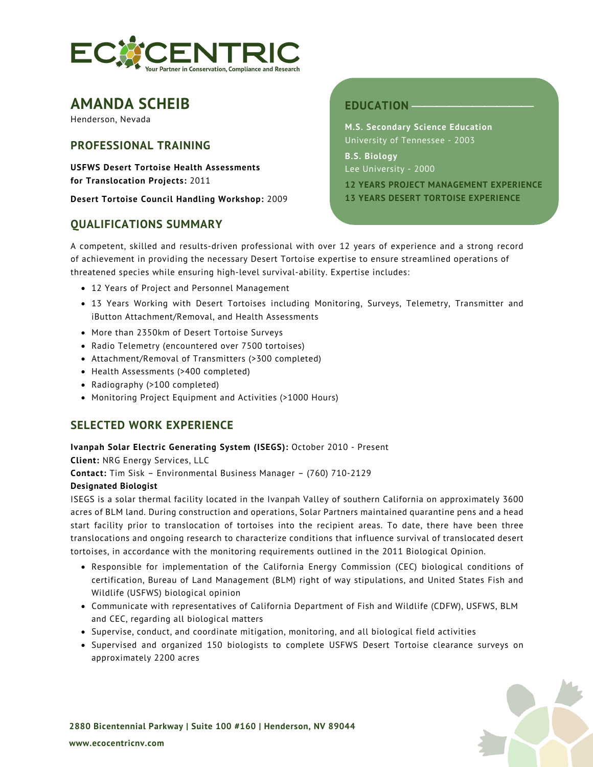

# **AMANDA SCHEIB**

Henderson, Nevada

# **PROFESSIONAL TRAINING**

**USFWS Desert Tortoise Health Assessments for Translocation Projects:** 2011

**Desert Tortoise Council Handling Workshop:** 2009

# **QUALIFICATIONS SUMMARY**

# **EDUCATION**

**M.S. Secondary Science Education**  University of Tennessee - 2003

**B.S. Biology** Lee University - 2000

**12 YEARS PROJECT MANAGEMENT EXPERIENCE 13 YEARS DESERT TORTOISE EXPERIENCE**

A competent, skilled and results-driven professional with over 12 years of experience and a strong record of achievement in providing the necessary Desert Tortoise expertise to ensure streamlined operations of threatened species while ensuring high-level survival-ability. Expertise includes:

- 12 Years of Project and Personnel Management
- 13 Years Working with Desert Tortoises including Monitoring, Surveys, Telemetry, Transmitter and iButton Attachment/Removal, and Health Assessments
- More than 2350km of Desert Tortoise Surveys
- Radio Telemetry (encountered over 7500 tortoises)
- Attachment/Removal of Transmitters (>300 completed)
- Health Assessments (>400 completed)
- Radiography (>100 completed)
- Monitoring Project Equipment and Activities (>1000 Hours)

# **SELECTED WORK EXPERIENCE**

# **Ivanpah Solar Electric Generating System (ISEGS):** October 2010 - Present

**Client:** NRG Energy Services, LLC

**Contact:** Tim Sisk – Environmental Business Manager – (760) 710-2129

# **Designated Biologist**

ISEGS is a solar thermal facility located in the Ivanpah Valley of southern California on approximately 3600 acres of BLM land. During construction and operations, Solar Partners maintained quarantine pens and a head start facility prior to translocation of tortoises into the recipient areas. To date, there have been three translocations and ongoing research to characterize conditions that influence survival of translocated desert tortoises, in accordance with the monitoring requirements outlined in the 2011 Biological Opinion.

- Responsible for implementation of the California Energy Commission (CEC) biological conditions of certification, Bureau of Land Management (BLM) right of way stipulations, and United States Fish and Wildlife (USFWS) biological opinion
- Communicate with representatives of California Department of Fish and Wildlife (CDFW), USFWS, BLM and CEC, regarding all biological matters
- Supervise, conduct, and coordinate mitigation, monitoring, and all biological field activities
- Supervised and organized 150 biologists to complete USFWS Desert Tortoise clearance surveys on approximately 2200 acres

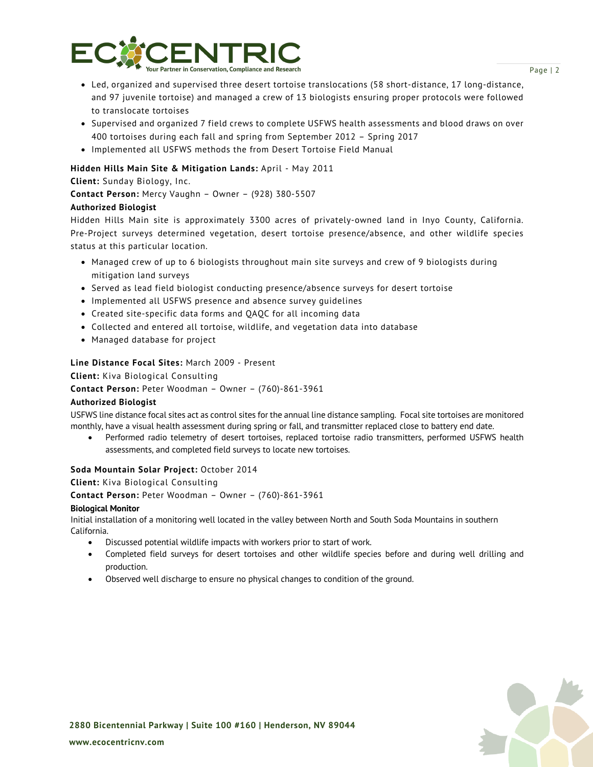

- Led, organized and supervised three desert tortoise translocations (58 short-distance, 17 long-distance, and 97 juvenile tortoise) and managed a crew of 13 biologists ensuring proper protocols were followed to translocate tortoises
- Supervised and organized 7 field crews to complete USFWS health assessments and blood draws on over 400 tortoises during each fall and spring from September 2012 – Spring 2017
- Implemented all USFWS methods the from Desert Tortoise Field Manual

# **Hidden Hills Main Site & Mitigation Lands:** April - May 2011

**Client:** Sunday Biology, Inc.

**Contact Person:** Mercy Vaughn – Owner – (928) 380-5507

# **Authorized Biologist**

Hidden Hills Main site is approximately 3300 acres of privately-owned land in Inyo County, California. Pre-Project surveys determined vegetation, desert tortoise presence/absence, and other wildlife species status at this particular location.

- Managed crew of up to 6 biologists throughout main site surveys and crew of 9 biologists during mitigation land surveys
- Served as lead field biologist conducting presence/absence surveys for desert tortoise
- Implemented all USFWS presence and absence survey guidelines
- Created site-specific data forms and QAQC for all incoming data
- Collected and entered all tortoise, wildlife, and vegetation data into database
- Managed database for project

# **Line Distance Focal Sites:** March 2009 - Present

**Client:** Kiva Biological Consulting

**Contact Person:** Peter Woodman – Owner – (760)-861-3961

# **Authorized Biologist**

USFWS line distance focal sites act as control sites for the annual line distance sampling. Focal site tortoises are monitored monthly, have a visual health assessment during spring or fall, and transmitter replaced close to battery end date.

• Performed radio telemetry of desert tortoises, replaced tortoise radio transmitters, performed USFWS health assessments, and completed field surveys to locate new tortoises.

# **Soda Mountain Solar Project:** October 2014

**Client:** Kiva Biological Consulting

**Contact Person:** Peter Woodman – Owner – (760)-861-3961

#### **Biological Monitor**

Initial installation of a monitoring well located in the valley between North and South Soda Mountains in southern California.

- Discussed potential wildlife impacts with workers prior to start of work.
- Completed field surveys for desert tortoises and other wildlife species before and during well drilling and production.
- Observed well discharge to ensure no physical changes to condition of the ground.



**2880 Bicentennial Parkway | Suite 100 #160 | Henderson, NV 89044**